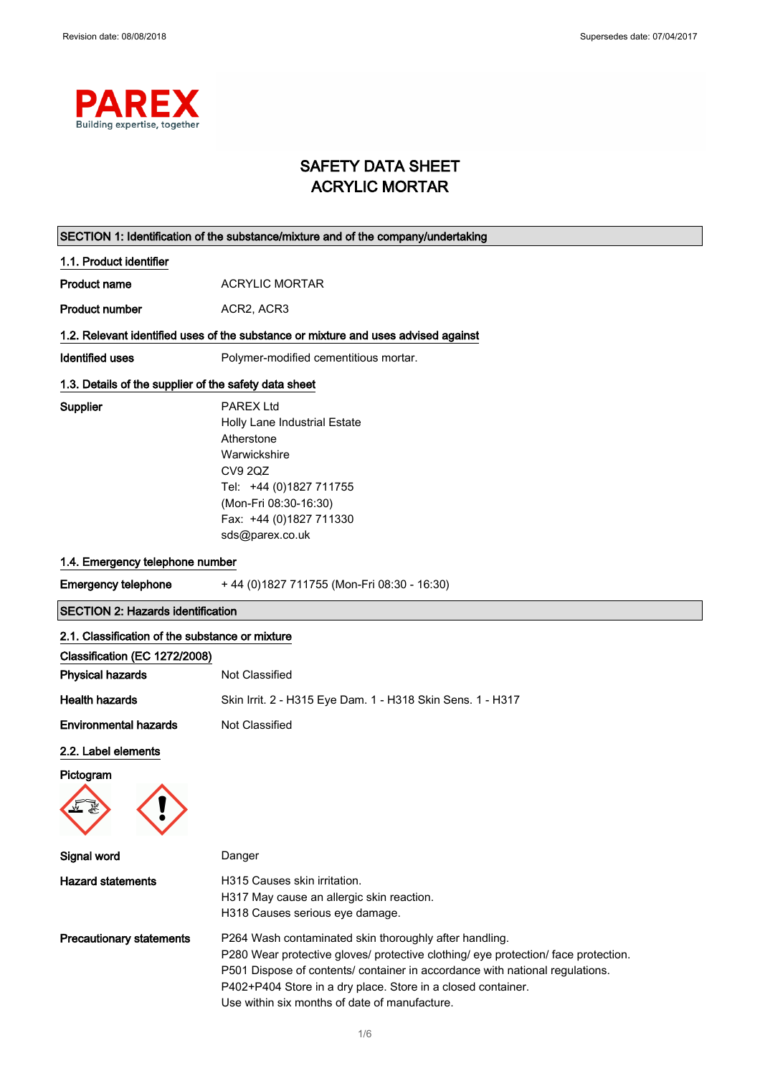

# SAFETY DATA SHEET ACRYLIC MORTAR

| SECTION 1: Identification of the substance/mixture and of the company/undertaking |                                                                                                                                                                                                                                                                                                                                               |  |
|-----------------------------------------------------------------------------------|-----------------------------------------------------------------------------------------------------------------------------------------------------------------------------------------------------------------------------------------------------------------------------------------------------------------------------------------------|--|
| 1.1. Product identifier                                                           |                                                                                                                                                                                                                                                                                                                                               |  |
| <b>Product name</b>                                                               | <b>ACRYLIC MORTAR</b>                                                                                                                                                                                                                                                                                                                         |  |
| <b>Product number</b>                                                             | ACR2, ACR3                                                                                                                                                                                                                                                                                                                                    |  |
|                                                                                   | 1.2. Relevant identified uses of the substance or mixture and uses advised against                                                                                                                                                                                                                                                            |  |
| <b>Identified uses</b>                                                            | Polymer-modified cementitious mortar.                                                                                                                                                                                                                                                                                                         |  |
| 1.3. Details of the supplier of the safety data sheet                             |                                                                                                                                                                                                                                                                                                                                               |  |
| Supplier                                                                          | <b>PAREX Ltd</b><br>Holly Lane Industrial Estate<br>Atherstone<br>Warwickshire<br><b>CV9 2QZ</b><br>Tel: +44 (0)1827 711755<br>(Mon-Fri 08:30-16:30)<br>Fax: +44 (0)1827 711330<br>sds@parex.co.uk                                                                                                                                            |  |
| 1.4. Emergency telephone number                                                   |                                                                                                                                                                                                                                                                                                                                               |  |
| <b>Emergency telephone</b>                                                        | +44 (0) 1827 711755 (Mon-Fri 08:30 - 16:30)                                                                                                                                                                                                                                                                                                   |  |
| <b>SECTION 2: Hazards identification</b>                                          |                                                                                                                                                                                                                                                                                                                                               |  |
| 2.1. Classification of the substance or mixture<br>Classification (EC 1272/2008)  |                                                                                                                                                                                                                                                                                                                                               |  |
| <b>Physical hazards</b>                                                           | Not Classified                                                                                                                                                                                                                                                                                                                                |  |
| <b>Health hazards</b>                                                             | Skin Irrit. 2 - H315 Eye Dam. 1 - H318 Skin Sens. 1 - H317                                                                                                                                                                                                                                                                                    |  |
| <b>Environmental hazards</b>                                                      | Not Classified                                                                                                                                                                                                                                                                                                                                |  |
| 2.2. Label elements<br>Pictogram                                                  |                                                                                                                                                                                                                                                                                                                                               |  |
| Signal word                                                                       | Danger                                                                                                                                                                                                                                                                                                                                        |  |
| <b>Hazard statements</b>                                                          | H315 Causes skin irritation.<br>H317 May cause an allergic skin reaction.<br>H318 Causes serious eye damage.                                                                                                                                                                                                                                  |  |
| <b>Precautionary statements</b>                                                   | P264 Wash contaminated skin thoroughly after handling.<br>P280 Wear protective gloves/ protective clothing/ eye protection/ face protection.<br>P501 Dispose of contents/ container in accordance with national regulations.<br>P402+P404 Store in a dry place. Store in a closed container.<br>Use within six months of date of manufacture. |  |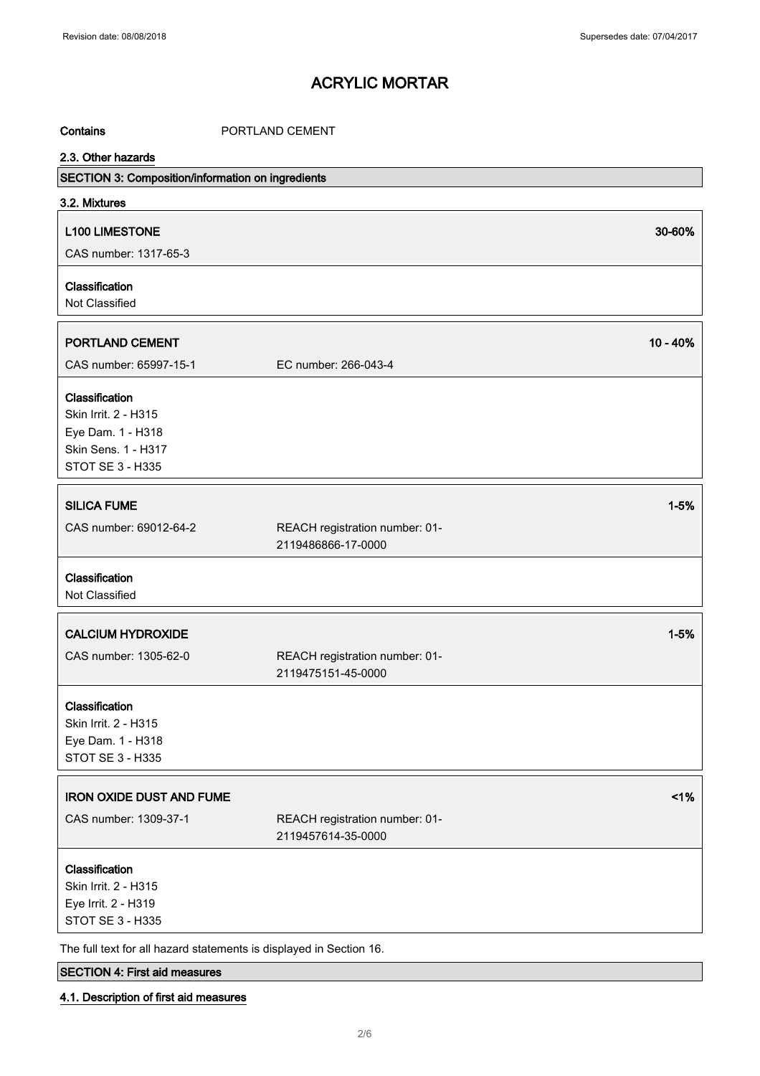Contains **CONTING PORTLAND CEMENT** 

## 2.3. Other hazards

| 2.3. Other hazards<br>SECTION 3: Composition/information on ingredients |                                                      |          |
|-------------------------------------------------------------------------|------------------------------------------------------|----------|
| 3.2. Mixtures                                                           |                                                      |          |
| <b>L100 LIMESTONE</b>                                                   |                                                      | 30-60%   |
| CAS number: 1317-65-3                                                   |                                                      |          |
|                                                                         |                                                      |          |
| Classification                                                          |                                                      |          |
| Not Classified                                                          |                                                      |          |
| PORTLAND CEMENT                                                         |                                                      | 10 - 40% |
| CAS number: 65997-15-1                                                  | EC number: 266-043-4                                 |          |
| Classification                                                          |                                                      |          |
| Skin Irrit. 2 - H315                                                    |                                                      |          |
| Eye Dam. 1 - H318                                                       |                                                      |          |
| Skin Sens. 1 - H317                                                     |                                                      |          |
| <b>STOT SE 3 - H335</b>                                                 |                                                      |          |
| <b>SILICA FUME</b>                                                      |                                                      | $1 - 5%$ |
|                                                                         |                                                      |          |
| CAS number: 69012-64-2                                                  | REACH registration number: 01-<br>2119486866-17-0000 |          |
|                                                                         |                                                      |          |
| Classification                                                          |                                                      |          |
| Not Classified                                                          |                                                      |          |
| <b>CALCIUM HYDROXIDE</b>                                                |                                                      | $1 - 5%$ |
|                                                                         |                                                      |          |
| CAS number: 1305-62-0                                                   | REACH registration number: 01-<br>2119475151-45-0000 |          |
|                                                                         |                                                      |          |
| Classification                                                          |                                                      |          |
| Skin Irrit. 2 - H315                                                    |                                                      |          |
| Eye Dam. 1 - H318                                                       |                                                      |          |
| <b>STOT SE 3 - H335</b>                                                 |                                                      |          |
| <b>IRON OXIDE DUST AND FUME</b>                                         |                                                      | 1%       |
| CAS number: 1309-37-1                                                   | REACH registration number: 01-                       |          |
|                                                                         | 2119457614-35-0000                                   |          |
| Classification                                                          |                                                      |          |
| Skin Irrit. 2 - H315                                                    |                                                      |          |
| Eye Irrit. 2 - H319                                                     |                                                      |          |
| STOT SE 3 - H335                                                        |                                                      |          |
| The full text for all hazard statements is displayed in Section 16.     |                                                      |          |

## SECTION 4: First aid measures

### 4.1. Description of first aid measures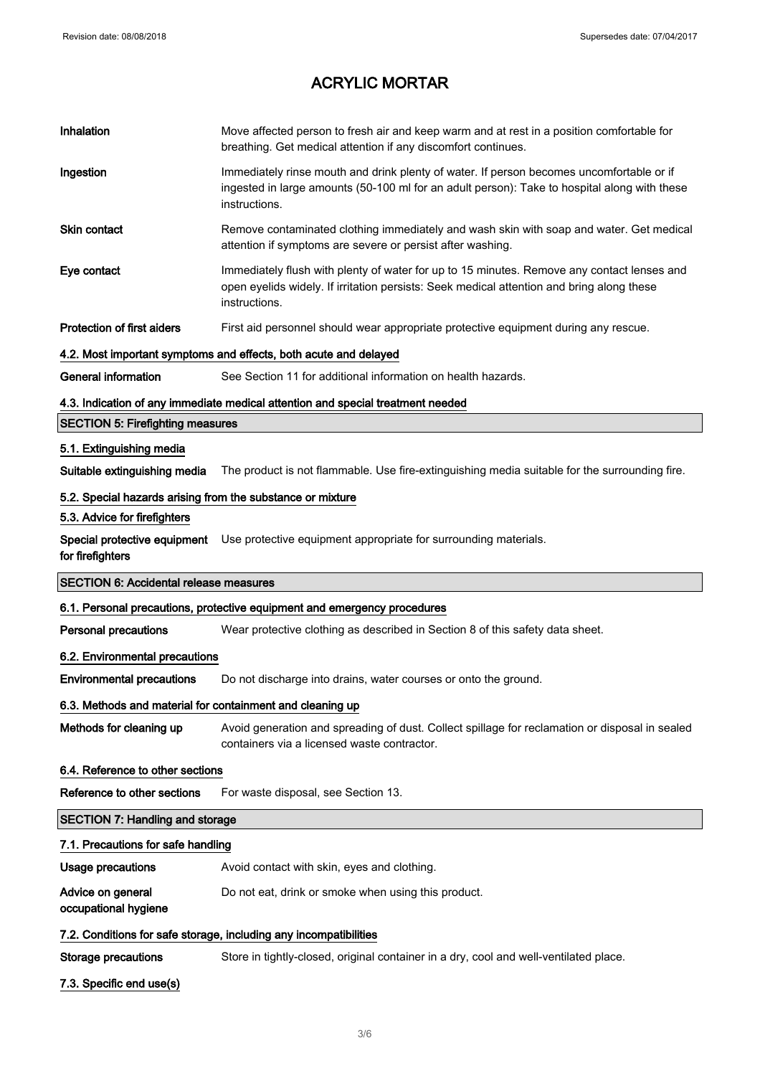| Inhalation                                                 | Move affected person to fresh air and keep warm and at rest in a position comfortable for<br>breathing. Get medical attention if any discomfort continues.                                                |  |
|------------------------------------------------------------|-----------------------------------------------------------------------------------------------------------------------------------------------------------------------------------------------------------|--|
| Ingestion                                                  | Immediately rinse mouth and drink plenty of water. If person becomes uncomfortable or if<br>ingested in large amounts (50-100 ml for an adult person): Take to hospital along with these<br>instructions. |  |
| Skin contact                                               | Remove contaminated clothing immediately and wash skin with soap and water. Get medical<br>attention if symptoms are severe or persist after washing.                                                     |  |
| Eye contact                                                | Immediately flush with plenty of water for up to 15 minutes. Remove any contact lenses and<br>open eyelids widely. If irritation persists: Seek medical attention and bring along these<br>instructions.  |  |
| <b>Protection of first aiders</b>                          | First aid personnel should wear appropriate protective equipment during any rescue.                                                                                                                       |  |
|                                                            | 4.2. Most important symptoms and effects, both acute and delayed                                                                                                                                          |  |
| <b>General information</b>                                 | See Section 11 for additional information on health hazards.                                                                                                                                              |  |
|                                                            | 4.3. Indication of any immediate medical attention and special treatment needed                                                                                                                           |  |
| <b>SECTION 5: Firefighting measures</b>                    |                                                                                                                                                                                                           |  |
| 5.1. Extinguishing media                                   |                                                                                                                                                                                                           |  |
| Suitable extinguishing media                               | The product is not flammable. Use fire-extinguishing media suitable for the surrounding fire.                                                                                                             |  |
| 5.2. Special hazards arising from the substance or mixture |                                                                                                                                                                                                           |  |
| 5.3. Advice for firefighters                               |                                                                                                                                                                                                           |  |
| for firefighters                                           | Special protective equipment Use protective equipment appropriate for surrounding materials.                                                                                                              |  |
|                                                            |                                                                                                                                                                                                           |  |
| <b>SECTION 6: Accidental release measures</b>              |                                                                                                                                                                                                           |  |
|                                                            | 6.1. Personal precautions, protective equipment and emergency procedures                                                                                                                                  |  |
| <b>Personal precautions</b>                                | Wear protective clothing as described in Section 8 of this safety data sheet.                                                                                                                             |  |
| 6.2. Environmental precautions                             |                                                                                                                                                                                                           |  |
| <b>Environmental precautions</b>                           | Do not discharge into drains, water courses or onto the ground.                                                                                                                                           |  |
| 6.3. Methods and material for containment and cleaning up  |                                                                                                                                                                                                           |  |
| Methods for cleaning up                                    | Avoid generation and spreading of dust. Collect spillage for reclamation or disposal in sealed<br>containers via a licensed waste contractor.                                                             |  |
| 6.4. Reference to other sections                           |                                                                                                                                                                                                           |  |
| Reference to other sections                                | For waste disposal, see Section 13.                                                                                                                                                                       |  |
| <b>SECTION 7: Handling and storage</b>                     |                                                                                                                                                                                                           |  |
| 7.1. Precautions for safe handling                         |                                                                                                                                                                                                           |  |
| <b>Usage precautions</b>                                   | Avoid contact with skin, eyes and clothing.                                                                                                                                                               |  |
| Advice on general<br>occupational hygiene                  | Do not eat, drink or smoke when using this product.                                                                                                                                                       |  |
|                                                            | 7.2. Conditions for safe storage, including any incompatibilities                                                                                                                                         |  |
| <b>Storage precautions</b>                                 | Store in tightly-closed, original container in a dry, cool and well-ventilated place.                                                                                                                     |  |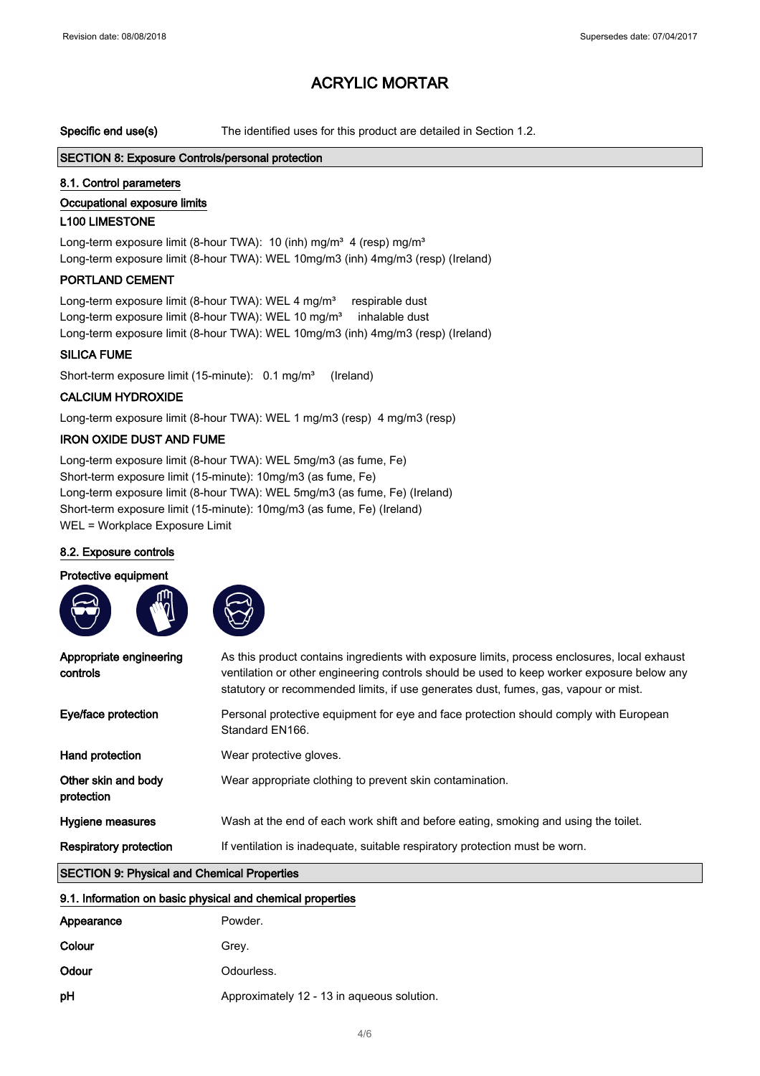Specific end use(s) The identified uses for this product are detailed in Section 1.2.

#### SECTION 8: Exposure Controls/personal protection

#### 8.1. Control parameters

### Occupational exposure limits

#### L100 LIMESTONE

Long-term exposure limit (8-hour TWA): 10 (inh) mg/m<sup>3</sup> 4 (resp) mg/m<sup>3</sup> Long-term exposure limit (8-hour TWA): WEL 10mg/m3 (inh) 4mg/m3 (resp) (Ireland)

### PORTLAND CEMENT

Long-term exposure limit (8-hour TWA): WEL 4 mg/m<sup>3</sup> respirable dust Long-term exposure limit (8-hour TWA): WEL 10 mg/m<sup>3</sup> inhalable dust Long-term exposure limit (8-hour TWA): WEL 10mg/m3 (inh) 4mg/m3 (resp) (Ireland)

#### SILICA FUME

Short-term exposure limit (15-minute): 0.1 mg/m<sup>3</sup> (Ireland)

#### CALCIUM HYDROXIDE

Long-term exposure limit (8-hour TWA): WEL 1 mg/m3 (resp) 4 mg/m3 (resp)

#### IRON OXIDE DUST AND FUME

Long-term exposure limit (8-hour TWA): WEL 5mg/m3 (as fume, Fe) Short-term exposure limit (15-minute): 10mg/m3 (as fume, Fe) Long-term exposure limit (8-hour TWA): WEL 5mg/m3 (as fume, Fe) (Ireland) Short-term exposure limit (15-minute): 10mg/m3 (as fume, Fe) (Ireland) WEL = Workplace Exposure Limit

#### 8.2. Exposure controls

#### Protective equipment



| Appropriate engineering<br>controls                | As this product contains ingredients with exposure limits, process enclosures, local exhaust<br>ventilation or other engineering controls should be used to keep worker exposure below any<br>statutory or recommended limits, if use generates dust, fumes, gas, vapour or mist. |  |
|----------------------------------------------------|-----------------------------------------------------------------------------------------------------------------------------------------------------------------------------------------------------------------------------------------------------------------------------------|--|
| Eye/face protection                                | Personal protective equipment for eye and face protection should comply with European<br>Standard EN166.                                                                                                                                                                          |  |
| Hand protection                                    | Wear protective gloves.                                                                                                                                                                                                                                                           |  |
| Other skin and body<br>protection                  | Wear appropriate clothing to prevent skin contamination.                                                                                                                                                                                                                          |  |
| Hygiene measures                                   | Wash at the end of each work shift and before eating, smoking and using the toilet.                                                                                                                                                                                               |  |
| <b>Respiratory protection</b>                      | If ventilation is inadequate, suitable respiratory protection must be worn.                                                                                                                                                                                                       |  |
| <b>CECTION Of Dhugical and Chamical Proportion</b> |                                                                                                                                                                                                                                                                                   |  |

#### SECTION 9: Physical and Chemical Properties

| 9.1. Information on basic physical and chemical properties |                                            |  |
|------------------------------------------------------------|--------------------------------------------|--|
| Appearance                                                 | Powder.                                    |  |
| Colour                                                     | Grey.                                      |  |
| Odour                                                      | Odourless.                                 |  |
| рH                                                         | Approximately 12 - 13 in aqueous solution. |  |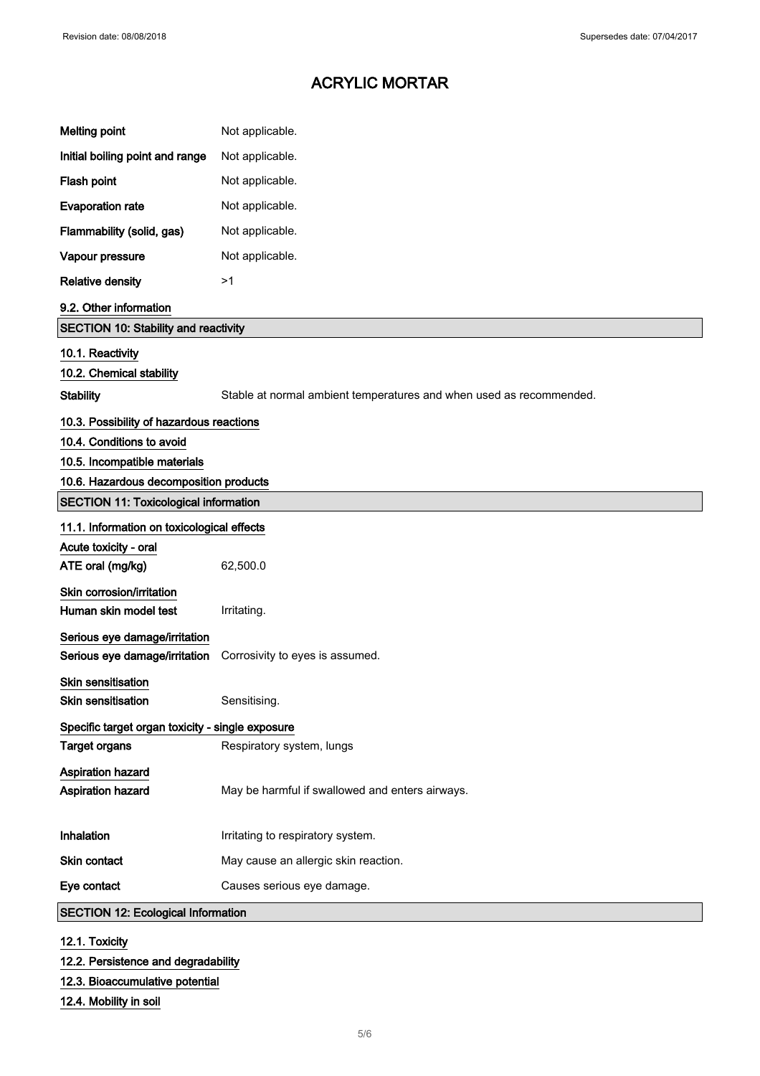| <b>Melting point</b>                             | Not applicable.                                                     |  |
|--------------------------------------------------|---------------------------------------------------------------------|--|
| Initial boiling point and range                  | Not applicable.                                                     |  |
| Flash point                                      | Not applicable.                                                     |  |
| <b>Evaporation rate</b>                          | Not applicable.                                                     |  |
| Flammability (solid, gas)                        | Not applicable.                                                     |  |
| Vapour pressure                                  | Not applicable.                                                     |  |
| <b>Relative density</b>                          | >1                                                                  |  |
| 9.2. Other information                           |                                                                     |  |
| <b>SECTION 10: Stability and reactivity</b>      |                                                                     |  |
| 10.1. Reactivity                                 |                                                                     |  |
| 10.2. Chemical stability                         |                                                                     |  |
| <b>Stability</b>                                 | Stable at normal ambient temperatures and when used as recommended. |  |
| 10.3. Possibility of hazardous reactions         |                                                                     |  |
| 10.4. Conditions to avoid                        |                                                                     |  |
| 10.5. Incompatible materials                     |                                                                     |  |
| 10.6. Hazardous decomposition products           |                                                                     |  |
| <b>SECTION 11: Toxicological information</b>     |                                                                     |  |
| 11.1. Information on toxicological effects       |                                                                     |  |
| Acute toxicity - oral                            |                                                                     |  |
| ATE oral (mg/kg)                                 | 62,500.0                                                            |  |
| Skin corrosion/irritation                        |                                                                     |  |
| Human skin model test                            | Irritating.                                                         |  |
| Serious eye damage/irritation                    |                                                                     |  |
| Serious eye damage/irritation                    | Corrosivity to eyes is assumed.                                     |  |
| <b>Skin sensitisation</b>                        |                                                                     |  |
| Skin sensitisation                               | Sensitising.                                                        |  |
| Specific target organ toxicity - single exposure |                                                                     |  |
| <b>Target organs</b>                             | Respiratory system, lungs                                           |  |
| Aspiration hazard                                |                                                                     |  |
| Aspiration hazard                                | May be harmful if swallowed and enters airways.                     |  |
|                                                  |                                                                     |  |
| Inhalation                                       | Irritating to respiratory system.                                   |  |
| Skin contact                                     | May cause an allergic skin reaction.                                |  |
| Eye contact                                      | Causes serious eye damage.                                          |  |
| <b>SECTION 12: Ecological Information</b>        |                                                                     |  |
| 12.1. Toxicity                                   |                                                                     |  |

|  | 12.2. Persistence and degradability |
|--|-------------------------------------|
|  |                                     |

12.3. Bioaccumulative potential

12.4. Mobility in soil